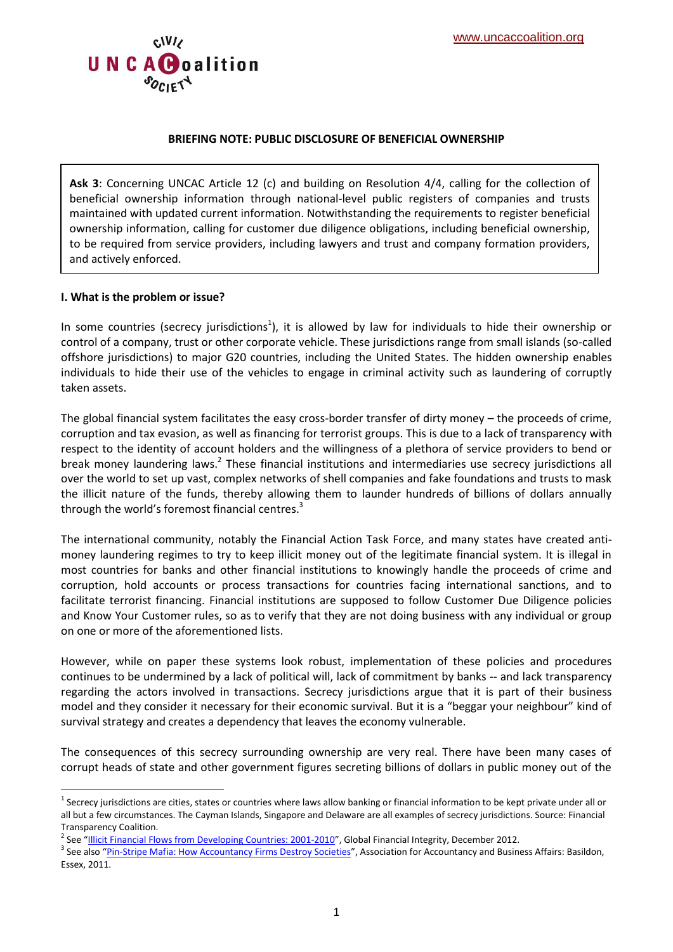

#### **BRIEFING NOTE: PUBLIC DISCLOSURE OF BENEFICIAL OWNERSHIP**

**Ask 3**: Concerning UNCAC Article 12 (c) and building on Resolution 4/4, calling for the collection of beneficial ownership information through national-level public registers of companies and trusts maintained with updated current information. Notwithstanding the requirements to register beneficial ownership information, calling for customer due diligence obligations, including beneficial ownership, to be required from service providers, including lawyers and trust and company formation providers, and actively enforced.

#### **I. What is the problem or issue?**

**.** 

In some countries (secrecy jurisdictions<sup>1</sup>), it is allowed by law for individuals to hide their ownership or control of a company, trust or other corporate vehicle. These jurisdictions range from small islands (so-called offshore jurisdictions) to major G20 countries, including the United States. The hidden ownership enables individuals to hide their use of the vehicles to engage in criminal activity such as laundering of corruptly taken assets.

The global financial system facilitates the easy cross-border transfer of dirty money – the proceeds of crime, corruption and tax evasion, as well as financing for terrorist groups. This is due to a lack of transparency with respect to the identity of account holders and the willingness of a plethora of service providers to bend or break money laundering laws.<sup>2</sup> These financial institutions and intermediaries use secrecy jurisdictions all over the world to set up vast, complex networks of shell companies and fake foundations and trusts to mask the illicit nature of the funds, thereby allowing them to launder hundreds of billions of dollars annually through the world's foremost financial centres.<sup>3</sup>

The international community, notably the Financial Action Task Force, and many states have created antimoney laundering regimes to try to keep illicit money out of the legitimate financial system. It is illegal in most countries for banks and other financial institutions to knowingly handle the proceeds of crime and corruption, hold accounts or process transactions for countries facing international sanctions, and to facilitate terrorist financing. Financial institutions are supposed to follow Customer Due Diligence policies and Know Your Customer rules, so as to verify that they are not doing business with any individual or group on one or more of the aforementioned lists.

However, while on paper these systems look robust, implementation of these policies and procedures continues to be undermined by a lack of political will, lack of commitment by banks -- and lack transparency regarding the actors involved in transactions. Secrecy jurisdictions argue that it is part of their business model and they consider it necessary for their economic survival. But it is a "beggar your neighbour" kind of survival strategy and creates a dependency that leaves the economy vulnerable.

The consequences of this secrecy surrounding ownership are very real. There have been many cases of corrupt heads of state and other government figures secreting billions of dollars in public money out of the

 $^1$  Secrecy jurisdictions are cities, states or countries where laws allow banking or financial information to be kept private under all or all but a few circumstances. The Cayman Islands, Singapore and Delaware are all examples of secrecy jurisdictions. Source: Financial Transparency Coalition.

<sup>&</sup>lt;sup>2</sup> See "[Illicit Financial Flows from Developing Countries: 2001-2010](http://iff.gfintegrity.org/iff2012/2012report.html)", Global Financial Integrity, December 2012.

<sup>&</sup>lt;sup>3</sup> See also "<u>[Pin-Stripe Mafia: How Accountancy Firms Destroy Societies](http://visar.csustan.edu/aaba/PINSTRIPEMAFIA.pdf)</u>", Association for Accountancy and Business Affairs: Basildon, Essex, 2011.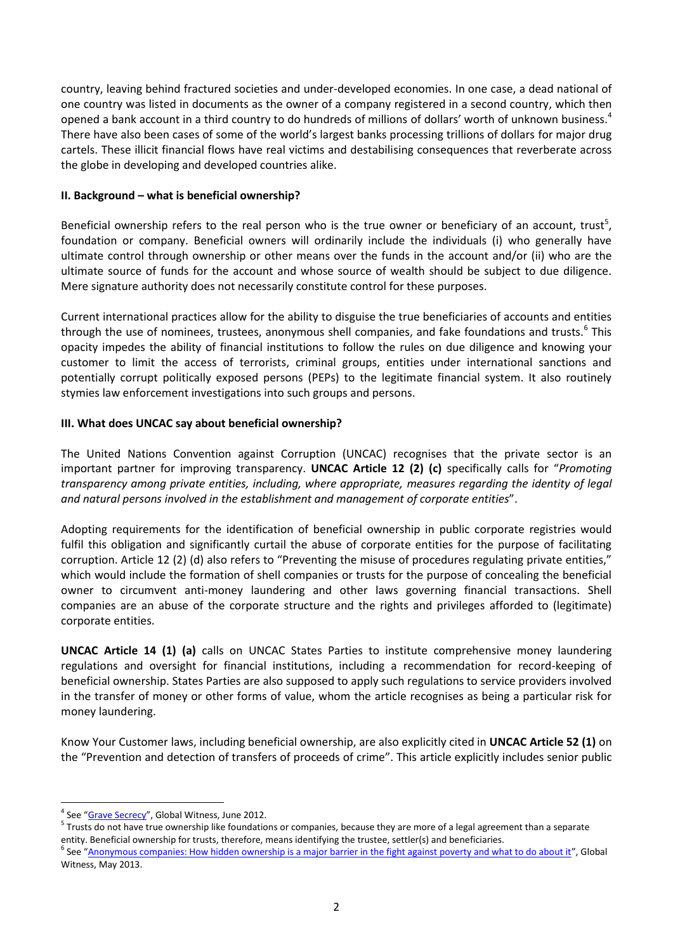country, leaving behind fractured societies and under-developed economies. In one case, a dead national of one country was listed in documents as the owner of a company registered in a second country, which then opened a bank account in a third country to do hundreds of millions of dollars' worth of unknown business.<sup>4</sup> There have also been cases of some of the world's largest banks processing trillions of dollars for major drug cartels. These illicit financial flows have real victims and destabilising consequences that reverberate across the globe in developing and developed countries alike.

### **II. Background – what is beneficial ownership?**

Beneficial ownership refers to the real person who is the true owner or beneficiary of an account, trust<sup>5</sup>, foundation or company. Beneficial owners will ordinarily include the individuals (i) who generally have ultimate control through ownership or other means over the funds in the account and/or (ii) who are the ultimate source of funds for the account and whose source of wealth should be subject to due diligence. Mere signature authority does not necessarily constitute control for these purposes.

Current international practices allow for the ability to disguise the true beneficiaries of accounts and entities through the use of nominees, trustees, anonymous shell companies, and fake foundations and trusts.<sup>6</sup> This opacity impedes the ability of financial institutions to follow the rules on due diligence and knowing your customer to limit the access of terrorists, criminal groups, entities under international sanctions and potentially corrupt politically exposed persons (PEPs) to the legitimate financial system. It also routinely stymies law enforcement investigations into such groups and persons.

### **III. What does UNCAC say about beneficial ownership?**

The United Nations Convention against Corruption (UNCAC) recognises that the private sector is an important partner for improving transparency. **UNCAC Article 12 (2) (c)** specifically calls for "*Promoting transparency among private entities, including, where appropriate, measures regarding the identity of legal and natural persons involved in the establishment and management of corporate entities*".

Adopting requirements for the identification of beneficial ownership in public corporate registries would fulfil this obligation and significantly curtail the abuse of corporate entities for the purpose of facilitating corruption. Article 12 (2) (d) also refers to "Preventing the misuse of procedures regulating private entities," which would include the formation of shell companies or trusts for the purpose of concealing the beneficial owner to circumvent anti-money laundering and other laws governing financial transactions. Shell companies are an abuse of the corporate structure and the rights and privileges afforded to (legitimate) corporate entities.

**UNCAC Article 14 (1) (a)** calls on UNCAC States Parties to institute comprehensive money laundering regulations and oversight for financial institutions, including a recommendation for record-keeping of beneficial ownership. States Parties are also supposed to apply such regulations to service providers involved in the transfer of money or other forms of value, whom the article recognises as being a particular risk for money laundering.

Know Your Customer laws, including beneficial ownership, are also explicitly cited in **UNCAC Article 52 (1)** on the "Prevention and detection of transfers of proceeds of crime". This article explicitly includes senior public

**.** 

<sup>&</sup>lt;sup>4</sup> See "[Grave Secrecy](http://www.globalwitness.org/library/grave-secrecy)", Global Witness, June 2012.

<sup>&</sup>lt;sup>5</sup> Trusts do not have true ownership like foundations or companies, because they are more of a legal agreement than a separate entity. Beneficial ownership for trusts, therefore, means identifying the trustee, settler(s) and beneficiaries.

<sup>&</sup>lt;sup>6</sup> See "[Anonymous companies: How hidden ownership is a major barrier in the fight against poverty and what to do about it](http://www.globalwitness.org/library/anonymous-companies-global-witness-briefing)", Global Witness, May 2013.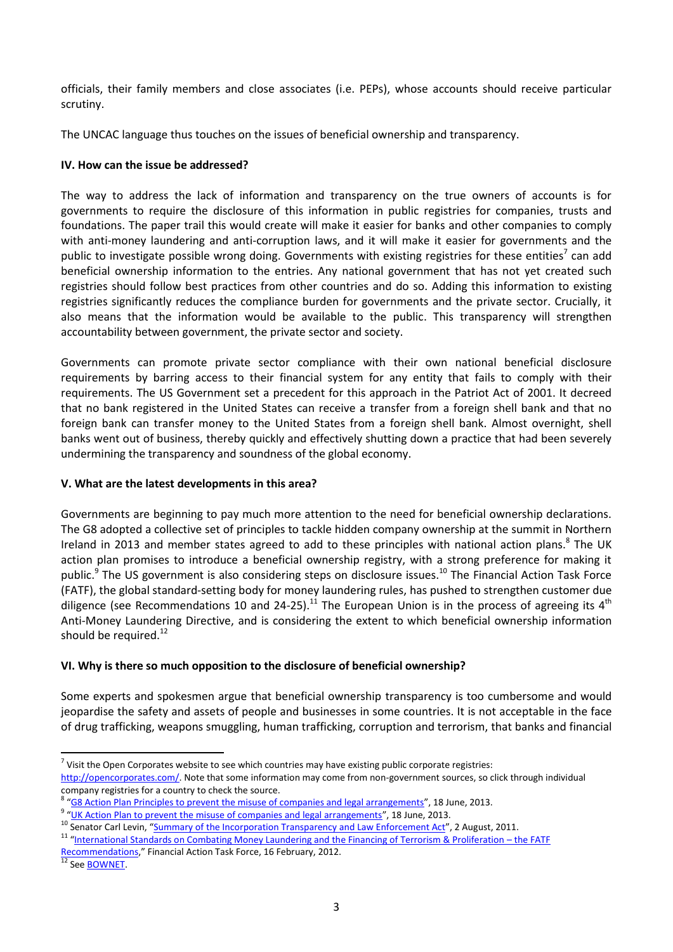officials, their family members and close associates (i.e. PEPs), whose accounts should receive particular scrutiny.

The UNCAC language thus touches on the issues of beneficial ownership and transparency.

### **IV. How can the issue be addressed?**

The way to address the lack of information and transparency on the true owners of accounts is for governments to require the disclosure of this information in public registries for companies, trusts and foundations. The paper trail this would create will make it easier for banks and other companies to comply with anti-money laundering and anti-corruption laws, and it will make it easier for governments and the public to investigate possible wrong doing. Governments with existing registries for these entities<sup>7</sup> can add beneficial ownership information to the entries. Any national government that has not yet created such registries should follow best practices from other countries and do so. Adding this information to existing registries significantly reduces the compliance burden for governments and the private sector. Crucially, it also means that the information would be available to the public. This transparency will strengthen accountability between government, the private sector and society.

Governments can promote private sector compliance with their own national beneficial disclosure requirements by barring access to their financial system for any entity that fails to comply with their requirements. The US Government set a precedent for this approach in the Patriot Act of 2001. It decreed that no bank registered in the United States can receive a transfer from a foreign shell bank and that no foreign bank can transfer money to the United States from a foreign shell bank. Almost overnight, shell banks went out of business, thereby quickly and effectively shutting down a practice that had been severely undermining the transparency and soundness of the global economy.

# **V. What are the latest developments in this area?**

Governments are beginning to pay much more attention to the need for beneficial ownership declarations. The G8 adopted a collective set of principles to tackle hidden company ownership at the summit in Northern Ireland in 2013 and member states agreed to add to these principles with national action plans.<sup>8</sup> The UK action plan promises to introduce a beneficial ownership registry, with a strong preference for making it public.<sup>9</sup> The US government is also considering steps on disclosure issues.<sup>10</sup> The Financial Action Task Force (FATF), the global standard-setting body for money laundering rules, has pushed to strengthen customer due diligence (see Recommendations 10 and 24-25).<sup>11</sup> The European Union is in the process of agreeing its 4<sup>th</sup> Anti-Money Laundering Directive, and is considering the extent to which beneficial ownership information should be required.<sup>12</sup>

# **VI. Why is there so much opposition to the disclosure of beneficial ownership?**

Some experts and spokesmen argue that beneficial ownership transparency is too cumbersome and would jeopardise the safety and assets of people and businesses in some countries. It is not acceptable in the face of drug trafficking, weapons smuggling, human trafficking, corruption and terrorism, that banks and financial

<sup>9</sup> "[UK Action Plan to prevent the misuse of companies and legal arrangements](https://www.gov.uk/government/uploads/system/uploads/attachment_data/file/207520/UK-Action-Plan.pdf)", 18 June, 2013.

**.** 

 $^7$  Visit the Open Corporates website to see which countries may have existing public corporate registries: [http://opencorporates.com/.](http://opencorporates.com/) Note that some information may come from non-government sources, so click through individual company registries for a country to check the source.

<sup>&</sup>lt;sup>8</sup> "[G8 Action Plan Principles to prevent the misuse of companies and legal arrangements](https://www.gov.uk/government/uploads/system/uploads/attachment_data/file/207532/G8-Action-Plan-principles-to-prevent-the-misuse-of-companies-and-legal-arrangements.pdf)", 18 June, 2013.

<sup>&</sup>lt;sup>10</sup> Senator Carl Levin, "[Summary of the Incorporation Transparency and Law Enforcement Act](http://www.levin.senate.gov/newsroom/press/release/summary-of-the-incorporation-transparency-and-law-enforcement-assistance-act)", 2 August, 2011.

<sup>&</sup>lt;sup>11</sup> "[International Standards on Combating Money Laundering and the Financing of Terrorism & Proliferation](http://www.fatf-gafi.org/topics/fatfrecommendations/documents/internationalstandardsoncombatingmoneylaunderingandthefinancingofterrorismproliferation-thefatfrecommendations.html) – the FATF

[Recommendations](http://www.fatf-gafi.org/topics/fatfrecommendations/documents/internationalstandardsoncombatingmoneylaunderingandthefinancingofterrorismproliferation-thefatfrecommendations.html)," Financial Action Task Force, 16 February, 2012.

<sup>&</sup>lt;sup>12</sup> See **BOWNET**.